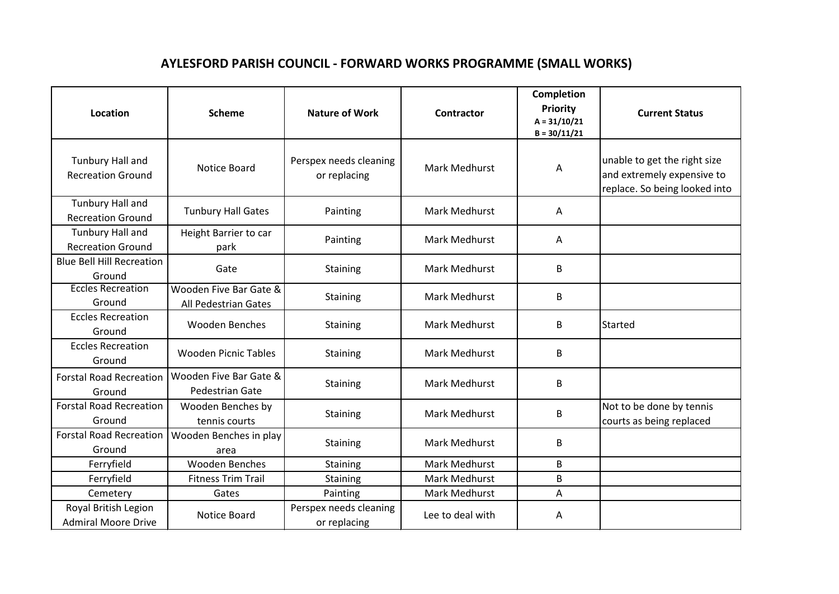## **AYLESFORD PARISH COUNCIL - FORWARD WORKS PROGRAMME (SMALL WORKS)**

| <b>Location</b>                                    | <b>Scheme</b>                                  | <b>Nature of Work</b>                  | <b>Contractor</b>    | Completion<br>Priority<br>$A = 31/10/21$<br>$B = 30/11/21$ | <b>Current Status</b>                                                                       |
|----------------------------------------------------|------------------------------------------------|----------------------------------------|----------------------|------------------------------------------------------------|---------------------------------------------------------------------------------------------|
| Tunbury Hall and<br><b>Recreation Ground</b>       | Notice Board                                   | Perspex needs cleaning<br>or replacing | Mark Medhurst        | A                                                          | unable to get the right size<br>and extremely expensive to<br>replace. So being looked into |
| Tunbury Hall and<br><b>Recreation Ground</b>       | <b>Tunbury Hall Gates</b>                      | Painting                               | <b>Mark Medhurst</b> | A                                                          |                                                                                             |
| Tunbury Hall and<br><b>Recreation Ground</b>       | Height Barrier to car<br>park                  | Painting                               | <b>Mark Medhurst</b> | A                                                          |                                                                                             |
| <b>Blue Bell Hill Recreation</b><br>Ground         | Gate                                           | <b>Staining</b>                        | <b>Mark Medhurst</b> | B                                                          |                                                                                             |
| <b>Eccles Recreation</b><br>Ground                 | Wooden Five Bar Gate &<br>All Pedestrian Gates | Staining                               | Mark Medhurst        | B                                                          |                                                                                             |
| <b>Eccles Recreation</b><br>Ground                 | <b>Wooden Benches</b>                          | Staining                               | <b>Mark Medhurst</b> | B                                                          | Started                                                                                     |
| <b>Eccles Recreation</b><br>Ground                 | <b>Wooden Picnic Tables</b>                    | Staining                               | Mark Medhurst        | B                                                          |                                                                                             |
| <b>Forstal Road Recreation</b><br>Ground           | Wooden Five Bar Gate &<br>Pedestrian Gate      | Staining                               | <b>Mark Medhurst</b> | B                                                          |                                                                                             |
| <b>Forstal Road Recreation</b><br>Ground           | Wooden Benches by<br>tennis courts             | Staining                               | Mark Medhurst        | B                                                          | Not to be done by tennis<br>courts as being replaced                                        |
| <b>Forstal Road Recreation</b><br>Ground           | Wooden Benches in play<br>area                 | Staining                               | <b>Mark Medhurst</b> | B                                                          |                                                                                             |
| Ferryfield                                         | <b>Wooden Benches</b>                          | Staining                               | Mark Medhurst        | B                                                          |                                                                                             |
| Ferryfield                                         | <b>Fitness Trim Trail</b>                      | Staining                               | Mark Medhurst        | B                                                          |                                                                                             |
| Cemetery                                           | Gates                                          | Painting                               | Mark Medhurst        | A                                                          |                                                                                             |
| Royal British Legion<br><b>Admiral Moore Drive</b> | Notice Board                                   | Perspex needs cleaning<br>or replacing | Lee to deal with     | А                                                          |                                                                                             |